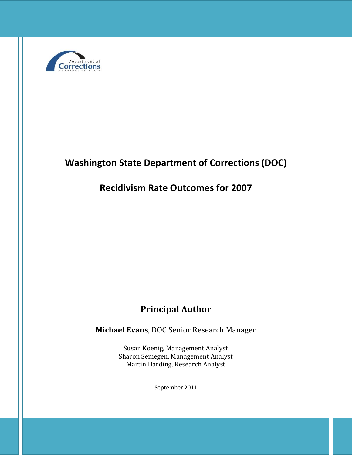

# **Washington State Department of Corrections (DOC)**

## **Recidivism Rate Outcomes for 2007**

## **Principal Author**

**Michael Evans**, DOC Senior Research Manager

Susan Koenig, Management Analyst Sharon Semegen, Management Analyst Martin Harding, Research Analyst

September 2011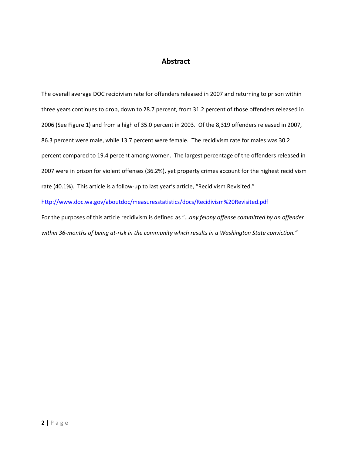## **Abstract**

The overall average DOC recidivism rate for offenders released in 2007 and returning to prison within three years continues to drop, down to 28.7 percent, from 31.2 percent of those offenders released in 2006 (See Figure 1) and from a high of 35.0 percent in 2003. Of the 8,319 offenders released in 2007, 86.3 percent were male, while 13.7 percent were female. The recidivism rate for males was 30.2 percent compared to 19.4 percent among women. The largest percentage of the offenders released in 2007 were in prison for violent offenses (36.2%), yet property crimes account for the highest recidivism rate (40.1%). This article is a follow-up to last year's article, "Recidivism Revisited." <http://www.doc.wa.gov/aboutdoc/measuresstatistics/docs/Recidivism%20Revisited.pdf>

For the purposes of this article recidivism is defined as "…*any felony offense committed by an offender within 36-months of being at-risk in the community which results in a Washington State conviction."*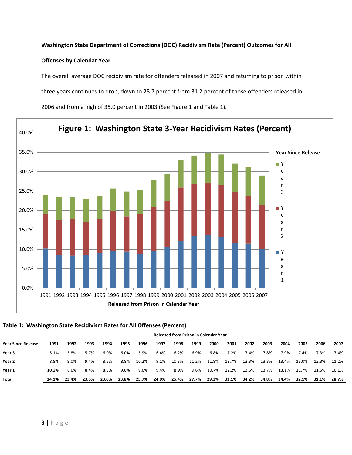### **Washington State Department of Corrections (DOC) Recidivism Rate (Percent) Outcomes for All**

### **Offenses by Calendar Year**

The overall average DOC recidivism rate for offenders released in 2007 and returning to prison within three years continues to drop, down to 28.7 percent from 31.2 percent of those offenders released in



2006 and from a high of 35.0 percent in 2003 (See Figure 1 and Table 1).

### **Table 1: Washington State Recidivism Rates for All Offenses (Percent)**

|                           | <b>Released from Prison in Calendar Year</b> |       |       |       |       |       |       |       |       |       |       |       |       |       |       |       |       |
|---------------------------|----------------------------------------------|-------|-------|-------|-------|-------|-------|-------|-------|-------|-------|-------|-------|-------|-------|-------|-------|
| <b>Year Since Release</b> | 1991                                         | 1992  | 1993  | 1994  | 1995  | 1996  | 1997  | 1998  | 1999  | 2000  | 2001  | 2002  | 2003  | 2004  | 2005  | 2006  | 2007  |
| Year <sub>3</sub>         | 5.1%                                         | 5.8%  | 5.7%  | 6.0%  | 6.0%  | 5.9%  | 6.4%  | 6.2%  | 6.9%  | 6.8%  | 7.2%  | 7.4%  | 7.8%  | 7.9%  | 7.4%  | 7.3%  | 7.4%  |
| Year <sub>2</sub>         | 8.8%                                         | 9.0%  | 9.4%  | 8.5%  | 8.8%  | 10.2% | 9.1%  | 10.3% | 11.2% | 11.8% | 13.7% | 13.3% | 13.3% | 13.4% | 13.0% | 12.3% | 11.2% |
| Year 1                    | 10.2%                                        | 8.6%  | 8.4%  | 8.5%  | 9.0%  | 9.6%  | 9.4%  | 8.9%  | 9.6%  | 10.7% | 12.2% | 13.5% | 13.7% | 13.1% | 11.7% | 11.5% | 10.1% |
| <b>Total</b>              | 24.1%                                        | 23.4% | 23.5% | 23.0% | 23.8% | 25.7% | 24.9% | 25.4% | 27.7% | 29.3% | 33.1% | 34.2% | 34.8% | 34.4% | 32.1% | 31.1% | 28.7% |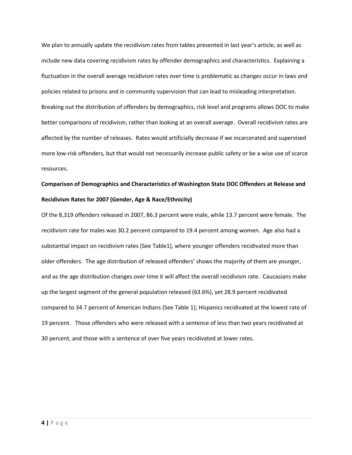We plan to annually update the recidivism rates from tables presented in last year's article, as well as include new data covering recidivism rates by offender demographics and characteristics. Explaining a fluctuation in the overall average recidivism rates over time is problematic as changes occur in laws and policies related to prisons and in community supervision that can lead to misleading interpretation. Breaking out the distribution of offenders by demographics, risk level and programs allows DOC to make better comparisons of recidivism, rather than looking at an overall average. Overall recidivism rates are affected by the number of releases. Rates would artificially decrease if we incarcerated and supervised more low-risk offenders, but that would not necessarily increase public safety or be a wise use of scarce resources.

## **Comparison of Demographics and Characteristics of Washington State DOC Offenders at Release and Recidivism Rates for 2007 (Gender, Age & Race/Ethnicity)**

Of the 8,319 offenders released in 2007, 86.3 percent were male, while 13.7 percent were female. The recidivism rate for males was 30.2 percent compared to 19.4 percent among women. Age also had a substantial impact on recidivism rates (See Table1), where younger offenders recidivated more than older offenders. The age distribution of released offenders' shows the majority of them are younger, and as the age distribution changes over time it will affect the overall recidivism rate. Caucasians make up the largest segment of the general population released (63.6%), yet 28.9 percent recidivated compared to 34.7 percent of American Indians (See Table 1); Hispanics recidivated at the lowest rate of 19 percent. Those offenders who were released with a sentence of less than two years recidivated at 30 percent, and those with a sentence of over five years recidivated at lower rates.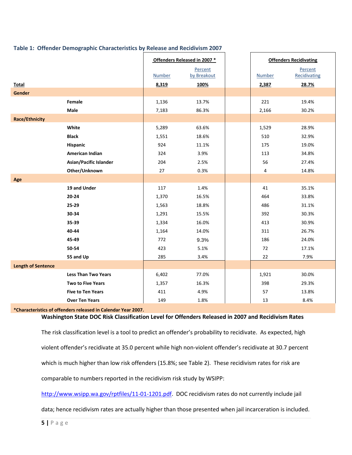|                           |                            |               | Offenders Released in 2007 * |               | <b>Offenders Recidivating</b> |
|---------------------------|----------------------------|---------------|------------------------------|---------------|-------------------------------|
|                           |                            |               | Percent                      |               | Percent                       |
|                           |                            | <b>Number</b> | by Breakout                  | <b>Number</b> | Recidivating                  |
| Total                     |                            | 8,319         | 100%                         | 2,387         | 28.7%                         |
| Gender                    |                            |               |                              |               |                               |
|                           | Female                     | 1,136         | 13.7%                        | 221           | 19.4%                         |
|                           | Male                       | 7,183         | 86.3%                        | 2,166         | 30.2%                         |
| <b>Race/Ethnicity</b>     |                            |               |                              |               |                               |
|                           | White                      | 5,289         | 63.6%                        | 1,529         | 28.9%                         |
|                           | <b>Black</b>               | 1,551         | 18.6%                        | 510           | 32.9%                         |
|                           | <b>Hispanic</b>            | 924           | 11.1%                        | 175           | 19.0%                         |
|                           | American Indian            | 324           | 3.9%                         | 113           | 34.8%                         |
|                           | Asian/Pacific Islander     | 204           | 2.5%                         | 56            | 27.4%                         |
|                           | Other/Unknown              | 27            | 0.3%                         | 4             | 14.8%                         |
| Age                       |                            |               |                              |               |                               |
|                           | 19 and Under               | 117           | 1.4%                         | 41            | 35.1%                         |
|                           | $20 - 24$                  | 1,370         | 16.5%                        | 464           | 33.8%                         |
|                           | 25-29                      | 1,563         | 18.8%                        | 486           | 31.1%                         |
|                           | 30-34                      | 1,291         | 15.5%                        | 392           | 30.3%                         |
|                           | 35-39                      | 1,334         | 16.0%                        | 413           | 30.9%                         |
|                           | 40-44                      | 1,164         | 14.0%                        | 311           | 26.7%                         |
|                           | 45-49                      | 772           | 9.3%                         | 186           | 24.0%                         |
|                           | 50-54                      | 423           | 5.1%                         | 72            | 17.1%                         |
|                           | 55 and Up                  | 285           | 3.4%                         | 22            | 7.9%                          |
| <b>Length of Sentence</b> |                            |               |                              |               |                               |
|                           | <b>Less Than Two Years</b> | 6,402         | 77.0%                        | 1,921         | 30.0%                         |
|                           | <b>Two to Five Years</b>   | 1,357         | 16.3%                        | 398           | 29.3%                         |
|                           | <b>Five to Ten Years</b>   | 411           | 4.9%                         | 57            | 13.8%                         |
|                           | <b>Over Ten Years</b>      | 149           | 1.8%                         | 13            | 8.4%                          |

### **Table 1: Offender Demographic Characteristics by Release and Recidivism 2007**

#### **\*Characteristics of offenders released in Calendar Year 2007.**

#### **Washington State DOC Risk Classification Level for Offenders Released in 2007 and Recidivism Rates**

The risk classification level is a tool to predict an offender's probability to recidivate. As expected, high violent offender's recidivate at 35.0 percent while high non-violent offender's recidivate at 30.7 percent which is much higher than low risk offenders (15.8%; see Table 2). These recidivism rates for risk are comparable to numbers reported in the recidivism risk study by WSIPP:

[http://www.wsipp.wa.gov/rptfiles/11-01-1201.pdf.](http://www.wsipp.wa.gov/rptfiles/11-01-1201.pdf) DOC recidivism rates do not currently include jail

data; hence recidivism rates are actually higher than those presented when jail incarceration is included.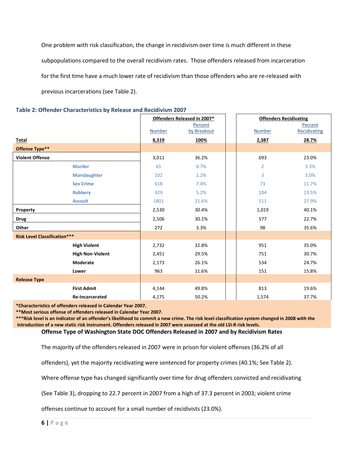One problem with risk classification, the change in recidivism over time is much different in these subpopulations compared to the overall recidivism rates. Those offenders released from incarceration for the first time have a much lower rate of recidivism than those offenders who are re-released with previous incarcerations (see Table 2).

|                                     |                         | Offenders Released in 2007*<br><b>Offenders Recidivating</b> |             |  |                |              |
|-------------------------------------|-------------------------|--------------------------------------------------------------|-------------|--|----------------|--------------|
|                                     |                         |                                                              | Percent     |  |                | Percent      |
|                                     |                         | <b>Number</b>                                                | by Breakout |  | <b>Number</b>  | Recidivating |
| Total                               |                         | 8,319                                                        | 100%        |  | 2,387          | 28.7%        |
| Offense Type**                      |                         |                                                              |             |  |                |              |
| <b>Violent Offense</b>              |                         | 3,011                                                        | 36.2%       |  | 693            | 23.0%        |
|                                     | <b>Murder</b>           | 61                                                           | 0.7%        |  | $\overline{2}$ | 3.3%         |
|                                     | <b>Manslaughter</b>     | 102                                                          | 1.2%        |  | 3              | 3.0%         |
|                                     | <b>Sex Crime</b>        | 618                                                          | 7.4%        |  | 73             | 11.7%        |
|                                     | <b>Robbery</b>          | 429                                                          | 5.2%        |  | 104            | 23.5%        |
|                                     | <b>Assault</b>          | 1801                                                         | 21.6%       |  | 511            | 27.9%        |
| Property                            |                         | 2,530                                                        | 30.4%       |  | 1,019          | 40.1%        |
| <b>Drug</b>                         |                         | 2,506                                                        | 30.1%       |  | 577            | 22.7%        |
| Other                               |                         | 272                                                          | 3.3%        |  | 98             | 35.6%        |
| <b>Risk Level Classification***</b> |                         |                                                              |             |  |                |              |
|                                     | <b>High Violent</b>     | 2,732                                                        | 32.8%       |  | 951            | 35.0%        |
|                                     | <b>High Non-Violent</b> | 2,451                                                        | 29.5%       |  | 751            | 30.7%        |
|                                     | Moderate                | 2,173                                                        | 26.1%       |  | 534            | 24.7%        |
|                                     | Lower                   | 963                                                          | 11.6%       |  | 151            | 15.8%        |
| <b>Release Type</b>                 |                         |                                                              |             |  |                |              |
|                                     | <b>First Admit</b>      | 4,144                                                        | 49.8%       |  | 813            | 19.6%        |
|                                     | <b>Re-Incarcerated</b>  | 4,175                                                        | 50.2%       |  | 1,574          | 37.7%        |

**Table 2: Offender Characteristics by Release and Recidivism 2007**

**\*Characteristics of offenders released in Calendar Year 2007.**

**\*\*Most serious offense of offenders released in Calendar Year 2007.**

**\*\*\*Risk level is an indicator of an offender's likelihood to commit a new crime. The risk level classification system changed in 2008 with the introduction of a new static risk instrument. Offenders released in 2007 were assessed at the old LSI-R risk levels.**

**Offense Type of Washington State DOC Offenders Released in 2007 and by Recidivism Rates**

The majority of the offenders released in 2007 were in prison for violent offenses (36.2% of all

offenders), yet the majority recidivating were sentenced for property crimes (40.1%; See Table 2).

Where offense type has changed significantly over time for drug offenders convicted and recidivating

(See Table 3), dropping to 22.7 percent in 2007 from a high of 37.3 percent in 2003; violent crime

offenses continue to account for a small number of recidivists (23.0%).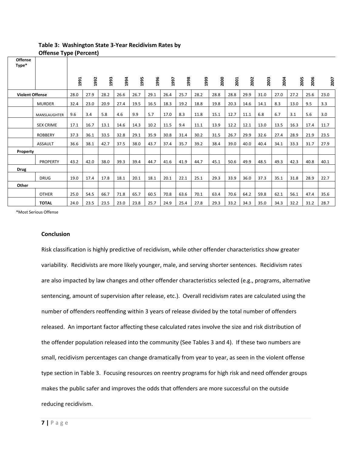| <b>Offense</b><br>Type* |                     |      |      |      |      |      |      |      |      |      |      |      |      |      |      |      |      |      |
|-------------------------|---------------------|------|------|------|------|------|------|------|------|------|------|------|------|------|------|------|------|------|
|                         |                     |      |      |      |      |      |      |      |      |      |      |      |      |      |      |      |      |      |
|                         |                     | 1991 | 1992 | 1993 | 1994 | 1995 | 1996 | 1997 | 1998 | 1999 | 2000 | 2001 | 2002 | 2003 | 2004 | 2005 | 2006 | 2007 |
|                         |                     |      |      |      |      |      |      |      |      |      |      |      |      |      |      |      |      |      |
| <b>Violent Offense</b>  |                     | 28.0 | 27.9 | 28.2 | 26.6 | 26.7 | 29.1 | 26.4 | 25.7 | 28.2 | 28.8 | 28.8 | 29.9 | 31.0 | 27.0 | 27.2 | 25.6 | 23.0 |
|                         | <b>MURDER</b>       | 32.4 | 23.0 | 20.9 | 27.4 | 19.5 | 16.5 | 18.3 | 19.2 | 18.8 | 19.8 | 20.3 | 14.6 | 14.1 | 8.3  | 13.0 | 9.5  | 3.3  |
|                         | <b>MANSLAUGHTER</b> | 9.6  | 3.4  | 5.8  | 4.6  | 9.9  | 5.7  | 17.0 | 8.3  | 11.8 | 15.1 | 12.7 | 11.1 | 6.8  | 6.7  | 3.1  | 5.6  | 3.0  |
|                         | <b>SEX CRIME</b>    | 17.1 | 16.7 | 13.1 | 14.6 | 14.3 | 10.2 | 11.5 | 9.4  | 11.1 | 13.9 | 12.2 | 12.1 | 13.0 | 13.5 | 16.3 | 17.4 | 11.7 |
|                         | <b>ROBBERY</b>      | 37.3 | 36.1 | 33.5 | 32.8 | 29.1 | 35.9 | 30.8 | 31.4 | 30.2 | 31.5 | 26.7 | 29.9 | 32.6 | 27.4 | 28.9 | 21.9 | 23.5 |
|                         | <b>ASSAULT</b>      | 36.6 | 38.1 | 42.7 | 37.5 | 38.0 | 43.7 | 37.4 | 35.7 | 39.2 | 38.4 | 39.0 | 40.0 | 40.4 | 34.1 | 33.3 | 31.7 | 27.9 |
| Property                |                     |      |      |      |      |      |      |      |      |      |      |      |      |      |      |      |      |      |
|                         | <b>PROPERTY</b>     | 43.2 | 42.0 | 38.0 | 39.3 | 39.4 | 44.7 | 41.6 | 41.9 | 44.7 | 45.1 | 50.6 | 49.9 | 48.5 | 49.3 | 42.3 | 40.8 | 40.1 |
| <b>Drug</b>             |                     |      |      |      |      |      |      |      |      |      |      |      |      |      |      |      |      |      |
|                         | <b>DRUG</b>         | 19.0 | 17.4 | 17.8 | 18.1 | 20.1 | 18.1 | 20.1 | 22.1 | 25.1 | 29.3 | 33.9 | 36.0 | 37.3 | 35.1 | 31.8 | 28.9 | 22.7 |
| Other                   |                     |      |      |      |      |      |      |      |      |      |      |      |      |      |      |      |      |      |
|                         | <b>OTHER</b>        | 25.0 | 54.5 | 66.7 | 71.8 | 65.7 | 60.5 | 70.8 | 63.6 | 70.1 | 63.4 | 70.6 | 64.2 | 59.8 | 62.1 | 56.1 | 47.4 | 35.6 |
|                         | <b>TOTAL</b>        | 24.0 | 23.5 | 23.5 | 23.0 | 23.8 | 25.7 | 24.9 | 25.4 | 27.8 | 29.3 | 33.2 | 34.3 | 35.0 | 34.3 | 32.2 | 31.2 | 28.7 |

### **Table 3: Washington State 3-Year Recidivism Rates by Offense Type (Percent)**

\*Most Serious Offense

#### **Conclusion**

Risk classification is highly predictive of recidivism, while other offender characteristics show greater variability. Recidivists are more likely younger, male, and serving shorter sentences. Recidivism rates are also impacted by law changes and other offender characteristics selected (e.g., programs, alternative sentencing, amount of supervision after release, etc.). Overall recidivism rates are calculated using the number of offenders reoffending within 3 years of release divided by the total number of offenders released. An important factor affecting these calculated rates involve the size and risk distribution of the offender population released into the community (See Tables 3 and 4). If these two numbers are small, recidivism percentages can change dramatically from year to year, as seen in the violent offense type section in Table 3. Focusing resources on reentry programs for high risk and need offender groups makes the public safer and improves the odds that offenders are more successful on the outside reducing recidivism.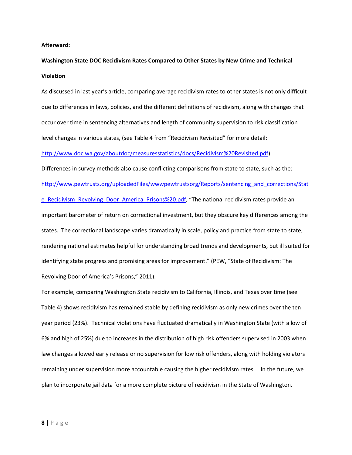#### **Afterward:**

## **Washington State DOC Recidivism Rates Compared to Other States by New Crime and Technical Violation**

As discussed in last year's article, comparing average recidivism rates to other states is not only difficult due to differences in laws, policies, and the different definitions of recidivism, along with changes that occur over time in sentencing alternatives and length of community supervision to risk classification level changes in various states, (see Table 4 from "Recidivism Revisited" for more detail:

[http://www.doc.wa.gov/aboutdoc/measuresstatistics/docs/Recidivism%20Revisited.pdf\)](http://www.doc.wa.gov/aboutdoc/measuresstatistics/docs/Recidivism%20Revisited.pdf)

Differences in survey methods also cause conflicting comparisons from state to state, such as the: [http://www.pewtrusts.org/uploadedFiles/wwwpewtrustsorg/Reports/sentencing\\_and\\_corrections/Stat](http://www.pewtrusts.org/uploadedFiles/wwwpewtrustsorg/Reports/sentencing_and_corrections/State_Recidivism_Revolving_Door_America_Prisons%20.pdf) [e\\_Recidivism\\_Revolving\\_Door\\_America\\_Prisons%20.pdf,](http://www.pewtrusts.org/uploadedFiles/wwwpewtrustsorg/Reports/sentencing_and_corrections/State_Recidivism_Revolving_Door_America_Prisons%20.pdf) "The national recidivism rates provide an important barometer of return on correctional investment, but they obscure key differences among the states. The correctional landscape varies dramatically in scale, policy and practice from state to state, rendering national estimates helpful for understanding broad trends and developments, but ill suited for identifying state progress and promising areas for improvement." (PEW, "State of Recidivism: The Revolving Door of America's Prisons," 2011).

For example, comparing Washington State recidivism to California, Illinois, and Texas over time (see Table 4) shows recidivism has remained stable by defining recidivism as only new crimes over the ten year period (23%). Technical violations have fluctuated dramatically in Washington State (with a low of 6% and high of 25%) due to increases in the distribution of high risk offenders supervised in 2003 when law changes allowed early release or no supervision for low risk offenders, along with holding violators remaining under supervision more accountable causing the higher recidivism rates. In the future, we plan to incorporate jail data for a more complete picture of recidivism in the State of Washington.